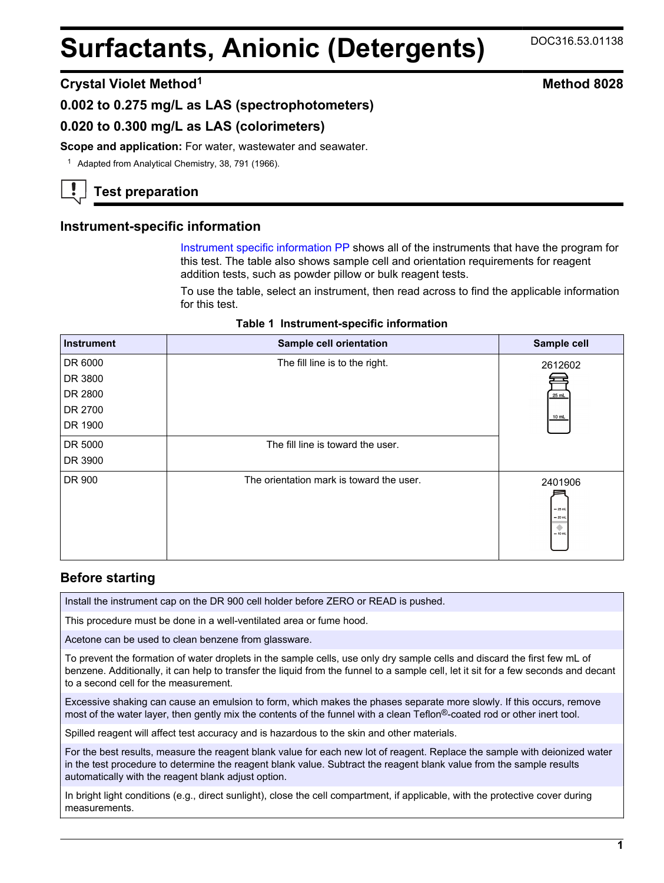# **Surfactants, Anionic (Detergents)** DOC316.53.01138

## **Crystal Violet Method<sup>1</sup> Method 8028**

## **0.002 to 0.275 mg/L as LAS (spectrophotometers)**

## **0.020 to 0.300 mg/L as LAS (colorimeters)**

Scope and application: For water, wastewater and seawater.

<sup>1</sup> Adapted from Analytical Chemistry, 38, 791 (1966).

# **Test preparation**

#### **Instrument-specific information**

Instrument specific information PP shows all of the instruments that have the program for this test. The table also shows sample cell and orientation requirements for reagent addition tests, such as powder pillow or bulk reagent tests.

To use the table, select an instrument, then read across to find the applicable information for this test.

|  | Table 1 Instrument-specific information |  |  |
|--|-----------------------------------------|--|--|
|--|-----------------------------------------|--|--|

<span id="page-0-0"></span>

| <b>Instrument</b> | Sample cell orientation                  | Sample cell                                        |
|-------------------|------------------------------------------|----------------------------------------------------|
| DR 6000           | The fill line is to the right.           | 2612602                                            |
| DR 3800           |                                          |                                                    |
| DR 2800           |                                          | 25 mL                                              |
| DR 2700           |                                          | 10 mL                                              |
| DR 1900           |                                          |                                                    |
| DR 5000           | The fill line is toward the user.        |                                                    |
| DR 3900           |                                          |                                                    |
| DR 900            | The orientation mark is toward the user. | 2401906<br>$-25$ mL<br>$= 20$ mL<br>۰<br>$= 10$ mL |

## **Before starting**

Install the instrument cap on the DR 900 cell holder before ZERO or READ is pushed.

This procedure must be done in a well-ventilated area or fume hood.

Acetone can be used to clean benzene from glassware.

To prevent the formation of water droplets in the sample cells, use only dry sample cells and discard the first few mL of benzene. Additionally, it can help to transfer the liquid from the funnel to a sample cell, let it sit for a few seconds and decant to a second cell for the measurement.

Excessive shaking can cause an emulsion to form, which makes the phases separate more slowly. If this occurs, remove most of the water layer, then gently mix the contents of the funnel with a clean Teflon®-coated rod or other inert tool.

Spilled reagent will affect test accuracy and is hazardous to the skin and other materials.

For the best results, measure the reagent blank value for each new lot of reagent. Replace the sample with deionized water in the test procedure to determine the reagent blank value. Subtract the reagent blank value from the sample results automatically with the reagent blank adjust option.

In bright light conditions (e.g., direct sunlight), close the cell compartment, if applicable, with the protective cover during measurements.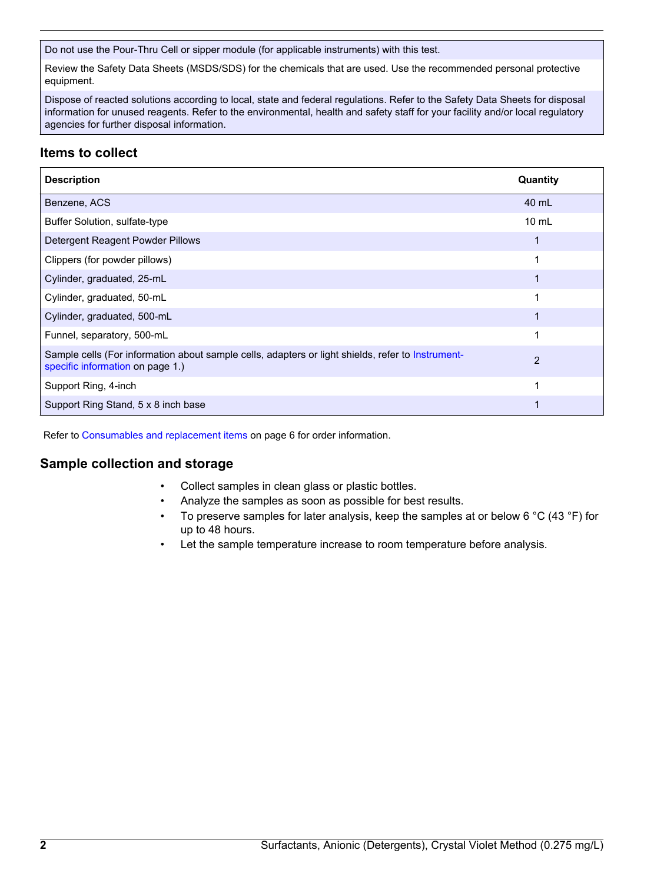Do not use the Pour-Thru Cell or sipper module (for applicable instruments) with this test.

Review the Safety Data Sheets (MSDS/SDS) for the chemicals that are used. Use the recommended personal protective equipment.

Dispose of reacted solutions according to local, state and federal regulations. Refer to the Safety Data Sheets for disposal information for unused reagents. Refer to the environmental, health and safety staff for your facility and/or local regulatory agencies for further disposal information.

# **Items to collect**

| <b>Description</b>                                                                                                                    | Quantity        |
|---------------------------------------------------------------------------------------------------------------------------------------|-----------------|
| Benzene, ACS                                                                                                                          | 40 mL           |
| Buffer Solution, sulfate-type                                                                                                         | $10 \text{ mL}$ |
| Detergent Reagent Powder Pillows                                                                                                      |                 |
| Clippers (for powder pillows)                                                                                                         |                 |
| Cylinder, graduated, 25-mL                                                                                                            |                 |
| Cylinder, graduated, 50-mL                                                                                                            |                 |
| Cylinder, graduated, 500-mL                                                                                                           |                 |
| Funnel, separatory, 500-mL                                                                                                            | 1               |
| Sample cells (For information about sample cells, adapters or light shields, refer to Instrument-<br>specific information on page 1.) | 2               |
| Support Ring, 4-inch                                                                                                                  | 1               |
| Support Ring Stand, 5 x 8 inch base                                                                                                   |                 |

Refer to [Consumables and replacement items](#page-5-0) on page 6 for order information.

## **Sample collection and storage**

- Collect samples in clean glass or plastic bottles.
- Analyze the samples as soon as possible for best results.
- To preserve samples for later analysis, keep the samples at or below 6 °C (43 °F) for up to 48 hours.
- Let the sample temperature increase to room temperature before analysis.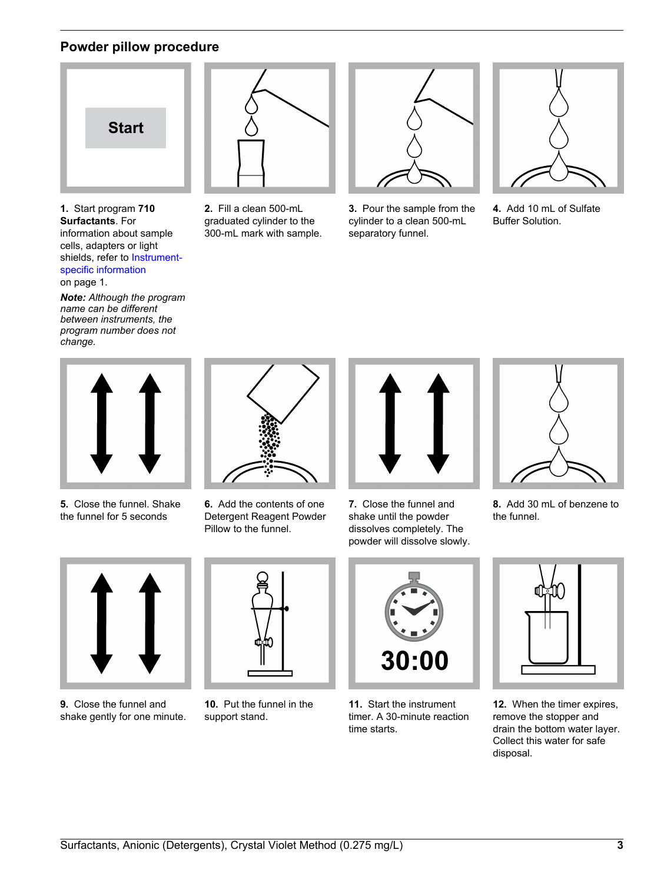# **Powder pillow procedure**



**1.** Start program **710 Surfactants**. For information about sample cells, adapters or light shields, refer to [Instrument](#page-0-0)[specific information](#page-0-0) on page 1.

*Note: Although the program name can be different between instruments, the program number does not change.*



**2.** Fill a clean 500-mL graduated cylinder to the 300-mL mark with sample.



**3.** Pour the sample from the cylinder to a clean 500-mL separatory funnel.



**4.** Add 10 mL of Sulfate Buffer Solution.



**5.** Close the funnel. Shake the funnel for 5 seconds



**6.** Add the contents of one Detergent Reagent Powder Pillow to the funnel.



**7.** Close the funnel and shake until the powder dissolves completely. The powder will dissolve slowly.



**8.** Add 30 mL of benzene to the funnel.



**9.** Close the funnel and shake gently for one minute.



**10.** Put the funnel in the support stand.



**11.** Start the instrument timer. A 30-minute reaction time starts.



**12.** When the timer expires, remove the stopper and drain the bottom water layer. Collect this water for safe disposal.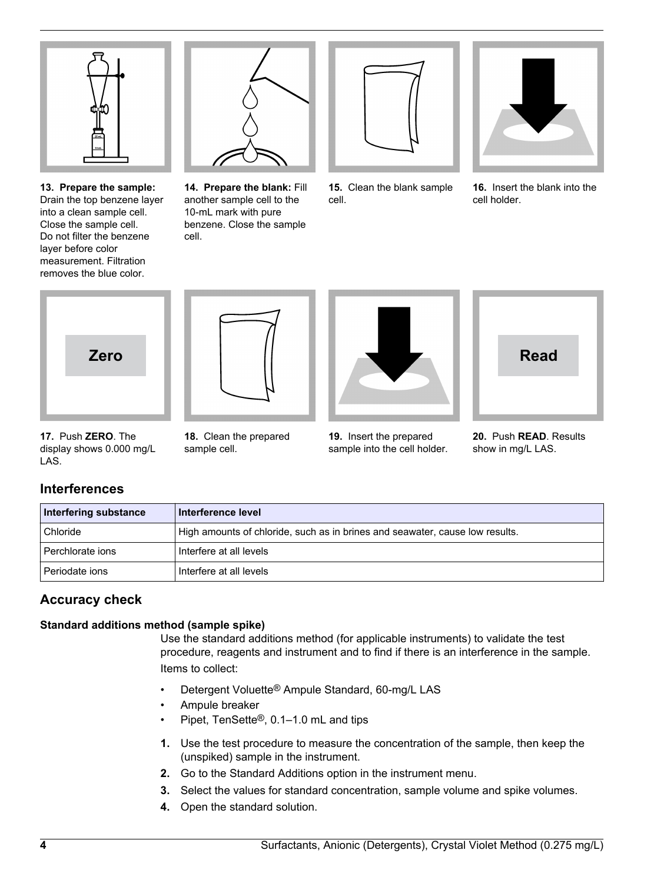

**13. Prepare the sample:** Drain the top benzene layer into a clean sample cell. Close the sample cell. Do not filter the benzene layer before color measurement. Filtration removes the blue color.



**14. Prepare the blank:** Fill another sample cell to the 10-mL mark with pure benzene. Close the sample cell.



**15.** Clean the blank sample cell.



**16.** Insert the blank into the cell holder.





**18.** Clean the prepared

sample cell.



**19.** Insert the prepared sample into the cell holder.



**20.** Push **READ**. Results show in mg/L LAS.

| 17. Push ZERO. The       |  |
|--------------------------|--|
| display shows 0.000 mg/L |  |
| LAS.                     |  |

# **Interferences**

| Interfering substance | Interference level                                                           |
|-----------------------|------------------------------------------------------------------------------|
| Chloride              | High amounts of chloride, such as in brines and seawater, cause low results. |
| Perchlorate ions      | Interfere at all levels                                                      |
| Periodate ions        | Interfere at all levels                                                      |

# **Accuracy check**

## **Standard additions method (sample spike)**

Use the standard additions method (for applicable instruments) to validate the test procedure, reagents and instrument and to find if there is an interference in the sample. Items to collect:

- Detergent Voluette<sup>®</sup> Ampule Standard, 60-mg/L LAS
- Ampule breaker
- Pipet, TenSette®, 0.1–1.0 mL and tips
- **1.** Use the test procedure to measure the concentration of the sample, then keep the (unspiked) sample in the instrument.
- **2.** Go to the Standard Additions option in the instrument menu.
- **3.** Select the values for standard concentration, sample volume and spike volumes.
- **4.** Open the standard solution.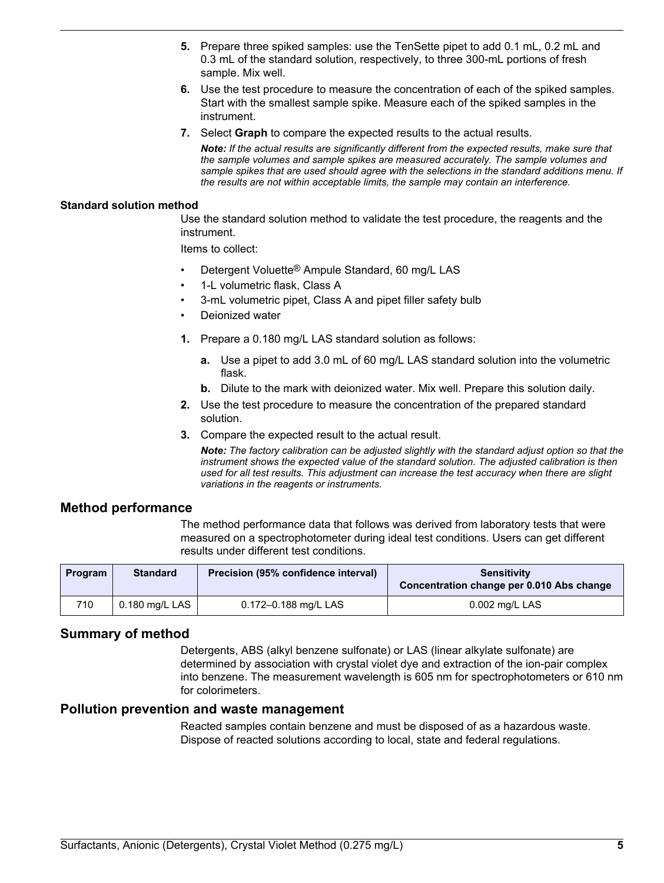- **5.** Prepare three spiked samples: use the TenSette pipet to add 0.1 mL, 0.2 mL and 0.3 mL of the standard solution, respectively, to three 300-mL portions of fresh sample. Mix well.
- **6.** Use the test procedure to measure the concentration of each of the spiked samples. Start with the smallest sample spike. Measure each of the spiked samples in the instrument.
- **7.** Select **Graph** to compare the expected results to the actual results.

*Note: If the actual results are significantly different from the expected results, make sure that the sample volumes and sample spikes are measured accurately. The sample volumes and sample spikes that are used should agree with the selections in the standard additions menu. If the results are not within acceptable limits, the sample may contain an interference.*

#### **Standard solution method**

Use the standard solution method to validate the test procedure, the reagents and the instrument.

Items to collect:

- Detergent Voluette<sup>®</sup> Ampule Standard, 60 mg/L LAS
- 1-L volumetric flask, Class A
- 3-mL volumetric pipet, Class A and pipet filler safety bulb
- Deionized water
- **1.** Prepare a 0.180 mg/L LAS standard solution as follows:
	- **a.** Use a pipet to add 3.0 mL of 60 mg/L LAS standard solution into the volumetric flask.
	- **b.** Dilute to the mark with deionized water. Mix well. Prepare this solution daily.
- **2.** Use the test procedure to measure the concentration of the prepared standard solution.
- **3.** Compare the expected result to the actual result.

*Note: The factory calibration can be adjusted slightly with the standard adjust option so that the instrument shows the expected value of the standard solution. The adjusted calibration is then used for all test results. This adjustment can increase the test accuracy when there are slight variations in the reagents or instruments.*

#### **Method performance**

The method performance data that follows was derived from laboratory tests that were measured on a spectrophotometer during ideal test conditions. Users can get different results under different test conditions.

| Program | <b>Standard</b> | Precision (95% confidence interval) | <b>Sensitivity</b><br>Concentration change per 0.010 Abs change |  |
|---------|-----------------|-------------------------------------|-----------------------------------------------------------------|--|
| 710     | 0.180 mg/L LAS  | 0.172-0.188 mg/L LAS                | $0.002$ mg/L LAS                                                |  |

## **Summary of method**

Detergents, ABS (alkyl benzene sulfonate) or LAS (linear alkylate sulfonate) are determined by association with crystal violet dye and extraction of the ion-pair complex into benzene. The measurement wavelength is 605 nm for spectrophotometers or 610 nm for colorimeters.

#### **Pollution prevention and waste management**

Reacted samples contain benzene and must be disposed of as a hazardous waste. Dispose of reacted solutions according to local, state and federal regulations.